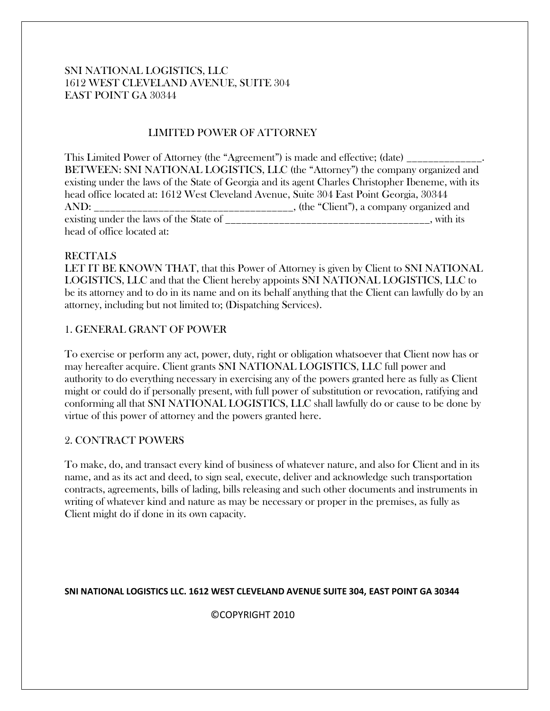## SNI NATIONAL LOGISTICS, LLC 1612 WEST CLEVELAND AVENUE, SUITE 304 EAST POINT GA 30344

# LIMITED POWER OF ATTORNEY

This Limited Power of Attorney (the "Agreement") is made and effective; (date) \_\_\_\_\_\_\_\_\_\_\_\_\_\_\_\_\_\_\_\_\_\_\_\_\_\_\_\_\_\_\_ BETWEEN: SNI NATIONAL LOGISTICS, LLC (the "Attorney") the company organized and existing under the laws of the State of Georgia and its agent Charles Christopher Ibeneme, with its head office located at: 1612 West Cleveland Avenue, Suite 304 East Point Georgia, 30344 AND: \_\_\_\_\_\_\_\_\_\_\_\_\_\_\_\_\_\_\_\_\_\_\_\_\_\_\_\_\_\_\_\_\_\_\_\_\_, (the "Client"), a company organized and existing under the laws of the State of \_\_\_\_\_\_\_\_\_\_\_\_\_\_\_\_\_\_\_\_\_\_\_\_\_\_\_\_\_\_\_\_\_\_\_\_\_\_, with its head of office located at:

#### **RECITALS**

LET IT BE KNOWN THAT, that this Power of Attorney is given by Client to SNI NATIONAL LOGISTICS, LLC and that the Client hereby appoints SNI NATIONAL LOGISTICS, LLC to be its attorney and to do in its name and on its behalf anything that the Client can lawfully do by an attorney, including but not limited to; (Dispatching Services).

#### 1. GENERAL GRANT OF POWER

To exercise or perform any act, power, duty, right or obligation whatsoever that Client now has or may hereafter acquire. Client grants SNI NATIONAL LOGISTICS, LLC full power and authority to do everything necessary in exercising any of the powers granted here as fully as Client might or could do if personally present, with full power of substitution or revocation, ratifying and conforming all that SNI NATIONAL LOGISTICS, LLC shall lawfully do or cause to be done by virtue of this power of attorney and the powers granted here.

#### 2. CONTRACT POWERS

To make, do, and transact every kind of business of whatever nature, and also for Client and in its name, and as its act and deed, to sign seal, execute, deliver and acknowledge such transportation contracts, agreements, bills of lading, bills releasing and such other documents and instruments in writing of whatever kind and nature as may be necessary or proper in the premises, as fully as Client might do if done in its own capacity.

#### **SNI NATIONAL LOGISTICS LLC. 1612 WEST CLEVELAND AVENUE SUITE 304, EAST POINT GA 30344**

©COPYRIGHT 2010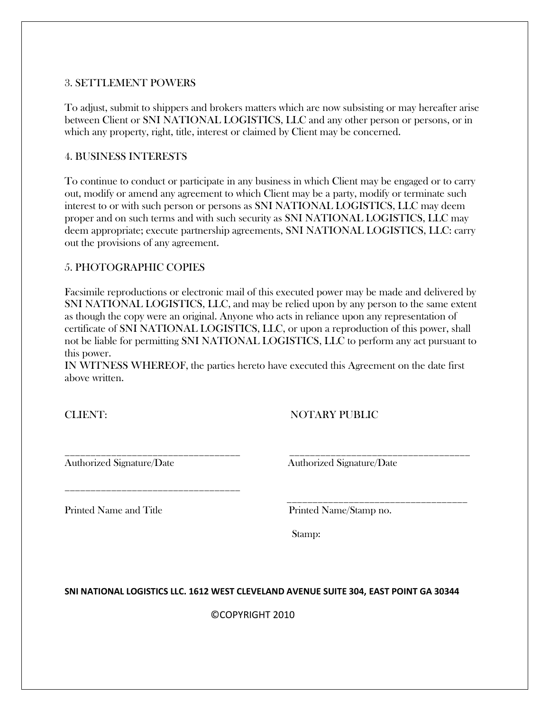## 3. SETTLEMENT POWERS

To adjust, submit to shippers and brokers matters which are now subsisting or may hereafter arise between Client or SNI NATIONAL LOGISTICS, LLC and any other person or persons, or in which any property, right, title, interest or claimed by Client may be concerned.

## 4. BUSINESS INTERESTS

To continue to conduct or participate in any business in which Client may be engaged or to carry out, modify or amend any agreement to which Client may be a party, modify or terminate such interest to or with such person or persons as SNI NATIONAL LOGISTICS, LLC may deem proper and on such terms and with such security as SNI NATIONAL LOGISTICS, LLC may deem appropriate; execute partnership agreements, SNI NATIONAL LOGISTICS, LLC: carry out the provisions of any agreement.

## 5. PHOTOGRAPHIC COPIES

Facsimile reproductions or electronic mail of this executed power may be made and delivered by SNI NATIONAL LOGISTICS, LLC, and may be relied upon by any person to the same extent as though the copy were an original. Anyone who acts in reliance upon any representation of certificate of SNI NATIONAL LOGISTICS, LLC, or upon a reproduction of this power, shall not be liable for permitting SNI NATIONAL LOGISTICS, LLC to perform any act pursuant to this power.

IN WITNESS WHEREOF, the parties hereto have executed this Agreement on the date first above written.

\_\_\_\_\_\_\_\_\_\_\_\_\_\_\_\_\_\_\_\_\_\_\_\_\_\_\_\_\_\_\_\_\_\_ \_\_\_\_\_\_\_\_\_\_\_\_\_\_\_\_\_\_\_\_\_\_\_\_\_\_\_\_\_\_\_\_\_\_\_

\_\_\_\_\_\_\_\_\_\_\_\_\_\_\_\_\_\_\_\_\_\_\_\_\_\_\_\_\_\_\_\_\_\_\_

CLIENT: NOTARY PUBLIC

\_\_\_\_\_\_\_\_\_\_\_\_\_\_\_\_\_\_\_\_\_\_\_\_\_\_\_\_\_\_\_\_\_\_

Authorized Signature/Date Authorized Signature/Date

Printed Name and Title Printed Name/Stamp no.

Stamp:

**SNI NATIONAL LOGISTICS LLC. 1612 WEST CLEVELAND AVENUE SUITE 304, EAST POINT GA 30344**

©COPYRIGHT 2010